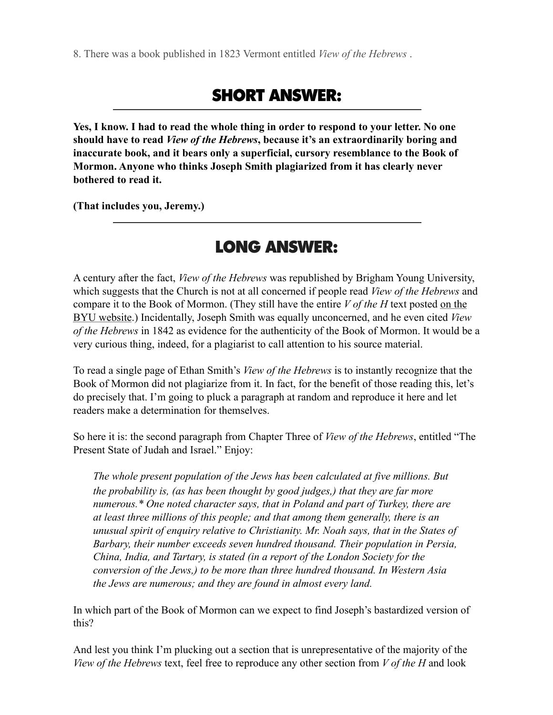8. There was a book published in 1823 Vermont entitled *View of the Hebrews* .

# SHORT ANSWER:

**Yes, I know. I had to read the whole thing in order to respond to your letter. No one should have to read** *View of the Hebrews***, because it's an extraordinarily boring and inaccurate book, and it bears only a superficial, cursory resemblance to the Book of Mormon. Anyone who thinks Joseph Smith plagiarized from it has clearly never bothered to read it.** 

**(That includes you, Jeremy.)** 

## LONG ANSWER:

A century after the fact, *View of the Hebrews* was republished by Brigham Young University, which suggests that the Church is not at all concerned if people read *View of the Hebrews* and compare it to the Book of Mormon. (They still have the entire *V of the H* text posted on the BYU website.) Incidentally, Joseph Smith was equally unconcerned, and he even cited *View of the Hebrews* in 1842 as evidence for the authenticity of the Book of Mormon. It would be a very curious thing, indeed, for a plagiarist to call attention to his source material.

To read a single page of Ethan Smith's *View of the Hebrews* is to instantly recognize that the Book of Mormon did not plagiarize from it. In fact, for the benefit of those reading this, let's do precisely that. I'm going to pluck a paragraph at random and reproduce it here and let readers make a determination for themselves.

So here it is: the second paragraph from Chapter Three of *View of the Hebrews*, entitled "The Present State of Judah and Israel." Enjoy:

*The whole present population of the Jews has been calculated at five millions. But the probability is, (as has been thought by good judges,) that they are far more numerous.\* One noted character says, that in Poland and part of Turkey, there are at least three millions of this people; and that among them generally, there is an unusual spirit of enquiry relative to Christianity. Mr. Noah says, that in the States of Barbary, their number exceeds seven hundred thousand. Their population in Persia, China, India, and Tartary, is stated (in a report of the London Society for the conversion of the Jews,) to be more than three hundred thousand. In Western Asia the Jews are numerous; and they are found in almost every land.*

In which part of the Book of Mormon can we expect to find Joseph's bastardized version of this?

And lest you think I'm plucking out a section that is unrepresentative of the majority of the *View of the Hebrews* text, feel free to reproduce any other section from *V of the H* and look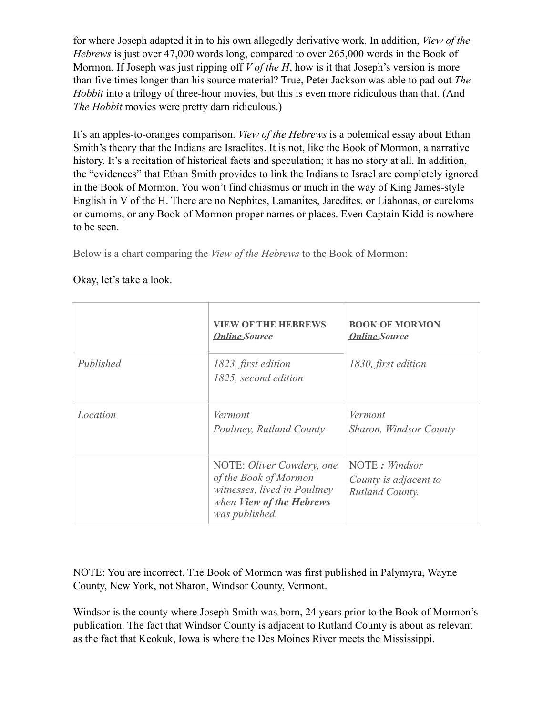for where Joseph adapted it in to his own allegedly derivative work. In addition, *View of the Hebrews* is just over 47,000 words long, compared to over 265,000 words in the Book of Mormon. If Joseph was just ripping off *V of the H*, how is it that Joseph's version is more than five times longer than his source material? True, Peter Jackson was able to pad out *The Hobbit* into a trilogy of three-hour movies, but this is even more ridiculous than that. (And *The Hobbit* movies were pretty darn ridiculous.)

It's an apples-to-oranges comparison. *View of the Hebrews* is a polemical essay about Ethan Smith's theory that the Indians are Israelites. It is not, like the Book of Mormon, a narrative history. It's a recitation of historical facts and speculation; it has no story at all. In addition, the "evidences" that Ethan Smith provides to link the Indians to Israel are completely ignored in the Book of Mormon. You won't find chiasmus or much in the way of King James-style English in V of the H. There are no Nephites, Lamanites, Jaredites, or Liahonas, or cureloms or cumoms, or any Book of Mormon proper names or places. Even Captain Kidd is nowhere to be seen.

Below is a chart comparing the *View of the Hebrews* to the Book of Mormon:

|           | <b>VIEW OF THE HEBREWS</b><br><b>Online Source</b>                                                                               | <b>BOOK OF MORMON</b><br><b>Online Source</b>             |
|-----------|----------------------------------------------------------------------------------------------------------------------------------|-----------------------------------------------------------|
| Published | 1823, first edition<br>1825, second edition                                                                                      | 1830, first edition                                       |
| Location  | Vermont<br>Poultney, Rutland County                                                                                              | Vermont<br>Sharon, Windsor County                         |
|           | NOTE: Oliver Cowdery, one<br>of the Book of Mormon<br>witnesses, lived in Poultney<br>when View of the Hebrews<br>was published. | NOTE: Windsor<br>County is adjacent to<br>Rutland County. |

Okay, let's take a look.

NOTE: You are incorrect. The Book of Mormon was first published in Palymyra, Wayne County, New York, not Sharon, Windsor County, Vermont.

Windsor is the county where Joseph Smith was born, 24 years prior to the Book of Mormon's publication. The fact that Windsor County is adjacent to Rutland County is about as relevant as the fact that Keokuk, Iowa is where the Des Moines River meets the Mississippi.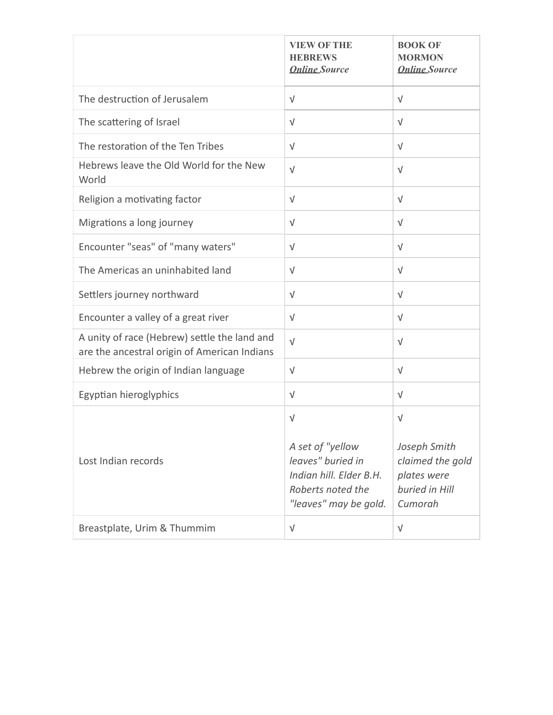|                                                                                              | <b>VIEW OF THE</b><br><b>HEBREWS</b><br><b>Online Source</b>                                                                 | <b>BOOK OF</b><br><b>MORMON</b><br><b>Online Source</b>                                    |
|----------------------------------------------------------------------------------------------|------------------------------------------------------------------------------------------------------------------------------|--------------------------------------------------------------------------------------------|
| The destruction of Jerusalem                                                                 | $\sqrt{ }$                                                                                                                   | $\sqrt{ }$                                                                                 |
| The scattering of Israel                                                                     | $\sqrt{ }$                                                                                                                   | $\sqrt{ }$                                                                                 |
| The restoration of the Ten Tribes                                                            | $\sqrt{ }$                                                                                                                   | $\sqrt{ }$                                                                                 |
| Hebrews leave the Old World for the New<br>World                                             | $\sqrt{ }$                                                                                                                   | $\sqrt{ }$                                                                                 |
| Religion a motivating factor                                                                 | $\sqrt{ }$                                                                                                                   | $\sqrt{ }$                                                                                 |
| Migrations a long journey                                                                    | $\sqrt{ }$                                                                                                                   | $\sqrt{ }$                                                                                 |
| Encounter "seas" of "many waters"                                                            | $\sqrt{ }$                                                                                                                   | $\sqrt{ }$                                                                                 |
| The Americas an uninhabited land                                                             | $\sqrt{}$                                                                                                                    | $\sqrt{}$                                                                                  |
| Settlers journey northward                                                                   | $\sqrt{ }$                                                                                                                   | $\sqrt{ }$                                                                                 |
| Encounter a valley of a great river                                                          | $\sqrt{ }$                                                                                                                   | $\sqrt{ }$                                                                                 |
| A unity of race (Hebrew) settle the land and<br>are the ancestral origin of American Indians | $\sqrt{ }$                                                                                                                   | $\sqrt{ }$                                                                                 |
| Hebrew the origin of Indian language                                                         | $\sqrt{ }$                                                                                                                   | $\sqrt{ }$                                                                                 |
| Egyptian hieroglyphics                                                                       | $\sqrt{ }$                                                                                                                   | $\sqrt{ }$                                                                                 |
| Lost Indian records                                                                          | $\sqrt{ }$<br>A set of "yellow<br>leaves" buried in<br>Indian hill. Elder B.H.<br>Roberts noted the<br>"leaves" may be gold. | $\sqrt{ }$<br>Joseph Smith<br>claimed the gold<br>plates were<br>buried in Hill<br>Cumorah |
| Breastplate, Urim & Thummim                                                                  | $\sqrt{}$                                                                                                                    | $\sqrt{ }$                                                                                 |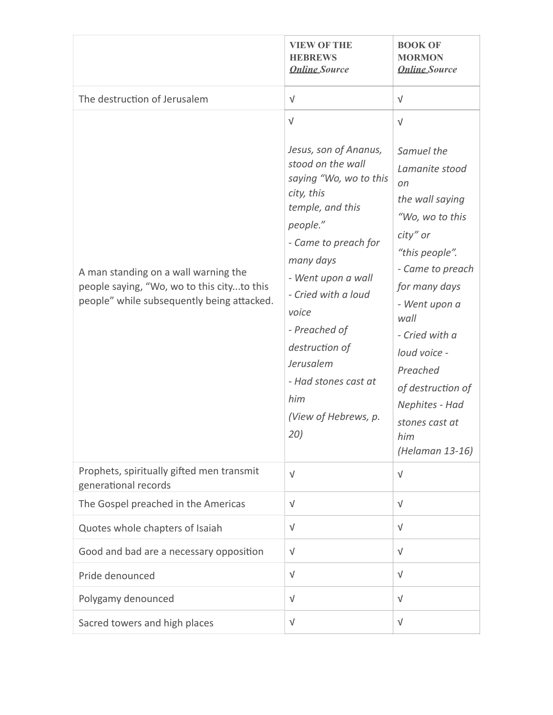|                                                                                                                                  | <b>VIEW OF THE</b><br><b>HEBREWS</b><br><b>Online Source</b>                                                                                                                                                                                                                                                                              | <b>BOOK OF</b><br><b>MORMON</b><br><b>Online Source</b>                                                                                                                                                                                                                                                             |
|----------------------------------------------------------------------------------------------------------------------------------|-------------------------------------------------------------------------------------------------------------------------------------------------------------------------------------------------------------------------------------------------------------------------------------------------------------------------------------------|---------------------------------------------------------------------------------------------------------------------------------------------------------------------------------------------------------------------------------------------------------------------------------------------------------------------|
| The destruction of Jerusalem                                                                                                     | $\sqrt{}$                                                                                                                                                                                                                                                                                                                                 | $\sqrt{ }$                                                                                                                                                                                                                                                                                                          |
| A man standing on a wall warning the<br>people saying, "Wo, wo to this cityto this<br>people" while subsequently being attacked. | $\sqrt{ }$<br>Jesus, son of Ananus,<br>stood on the wall<br>saying "Wo, wo to this<br>city, this<br>temple, and this<br>people."<br>- Came to preach for<br>many days<br>- Went upon a wall<br>- Cried with a loud<br>voice<br>- Preached of<br>destruction of<br>Jerusalem<br>- Had stones cast at<br>him<br>(View of Hebrews, p.<br>20) | $\sqrt{ }$<br>Samuel the<br>Lamanite stood<br>on<br>the wall saying<br>"Wo, wo to this<br>city" or<br>"this people".<br>- Came to preach<br>for many days<br>- Went upon a<br>wall<br>- Cried with a<br>loud voice -<br>Preached<br>of destruction of<br>Nephites - Had<br>stones cast at<br>him<br>(Helaman 13-16) |
| Prophets, spiritually gifted men transmit<br>generational records                                                                | $\sqrt{ }$                                                                                                                                                                                                                                                                                                                                | $\sqrt{ }$                                                                                                                                                                                                                                                                                                          |
| The Gospel preached in the Americas                                                                                              | $\sqrt{}$                                                                                                                                                                                                                                                                                                                                 | $\sqrt{ }$                                                                                                                                                                                                                                                                                                          |
| Quotes whole chapters of Isaiah                                                                                                  | $\sqrt{ }$                                                                                                                                                                                                                                                                                                                                | $\sqrt{ }$                                                                                                                                                                                                                                                                                                          |
| Good and bad are a necessary opposition                                                                                          | $\sqrt{ }$                                                                                                                                                                                                                                                                                                                                | $\sqrt{ }$                                                                                                                                                                                                                                                                                                          |
| Pride denounced                                                                                                                  | $\sqrt{}$                                                                                                                                                                                                                                                                                                                                 | $\sqrt{ }$                                                                                                                                                                                                                                                                                                          |
| Polygamy denounced                                                                                                               | $\sqrt{}$                                                                                                                                                                                                                                                                                                                                 | $\sqrt{ }$                                                                                                                                                                                                                                                                                                          |
| Sacred towers and high places                                                                                                    | $\sqrt{}$                                                                                                                                                                                                                                                                                                                                 | $\sqrt{ }$                                                                                                                                                                                                                                                                                                          |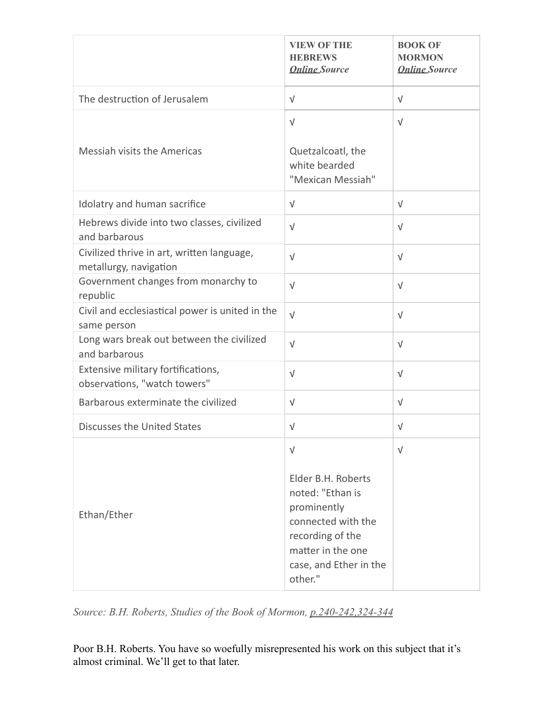|                                                                      | <b>VIEW OF THE</b><br><b>HEBREWS</b><br><b>Online Source</b>                                                                                                            | <b>BOOK OF</b><br><b>MORMON</b><br><b>Online Source</b> |
|----------------------------------------------------------------------|-------------------------------------------------------------------------------------------------------------------------------------------------------------------------|---------------------------------------------------------|
| The destruction of Jerusalem                                         | $\sqrt{ }$                                                                                                                                                              | $\sqrt{ }$                                              |
| Messiah visits the Americas                                          | $\sqrt{ }$<br>Quetzalcoatl, the<br>white bearded<br>"Mexican Messiah"                                                                                                   | $\sqrt{ }$                                              |
| Idolatry and human sacrifice                                         | $\sqrt{ }$                                                                                                                                                              | $\sqrt{ }$                                              |
| Hebrews divide into two classes, civilized<br>and barbarous          | $\sqrt{ }$                                                                                                                                                              | $\sqrt{ }$                                              |
| Civilized thrive in art, written language,<br>metallurgy, navigation | $\sqrt{ }$                                                                                                                                                              | $\sqrt{ }$                                              |
| Government changes from monarchy to<br>republic                      | $\sqrt{ }$                                                                                                                                                              | $\sqrt{ }$                                              |
| Civil and ecclesiastical power is united in the<br>same person       | $\sqrt{ }$                                                                                                                                                              | $\sqrt{ }$                                              |
| Long wars break out between the civilized<br>and barbarous           | $\sqrt{ }$                                                                                                                                                              | $\sqrt{ }$                                              |
| Extensive military fortifications,<br>observations, "watch towers"   | $\sqrt{ }$                                                                                                                                                              | $\sqrt{ }$                                              |
| Barbarous exterminate the civilized                                  | $\sqrt{ }$                                                                                                                                                              | $\sqrt{ }$                                              |
| <b>Discusses the United States</b>                                   | $\sqrt{ }$                                                                                                                                                              | $\sqrt{ }$                                              |
| Ethan/Ether                                                          | $\sqrt{ }$<br>Elder B.H. Roberts<br>noted: "Ethan is<br>prominently<br>connected with the<br>recording of the<br>matter in the one<br>case, and Ether in the<br>other." | $\sqrt{ }$                                              |

*Source: B.H. Roberts, Studies of the Book of Mormon, p.240-242,324-344*

Poor B.H. Roberts. You have so woefully misrepresented his work on this subject that it's almost criminal. We'll get to that later.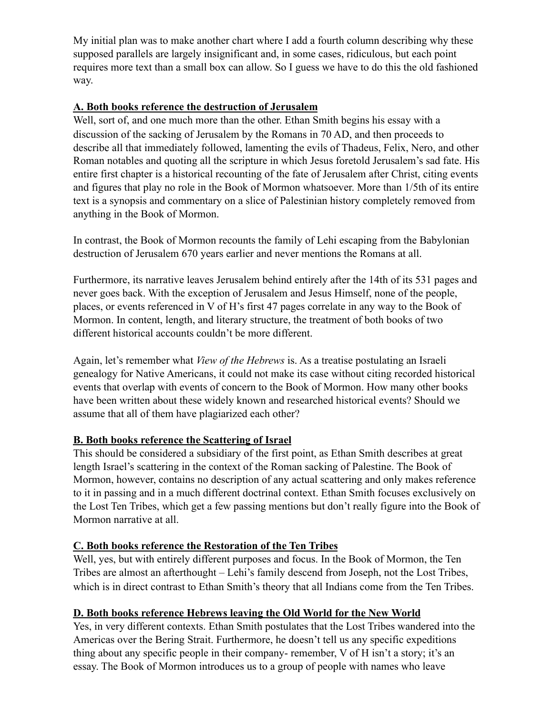My initial plan was to make another chart where I add a fourth column describing why these supposed parallels are largely insignificant and, in some cases, ridiculous, but each point requires more text than a small box can allow. So I guess we have to do this the old fashioned way.

## **A. Both books reference the destruction of Jerusalem**

Well, sort of, and one much more than the other. Ethan Smith begins his essay with a discussion of the sacking of Jerusalem by the Romans in 70 AD, and then proceeds to describe all that immediately followed, lamenting the evils of Thadeus, Felix, Nero, and other Roman notables and quoting all the scripture in which Jesus foretold Jerusalem's sad fate. His entire first chapter is a historical recounting of the fate of Jerusalem after Christ, citing events and figures that play no role in the Book of Mormon whatsoever. More than 1/5th of its entire text is a synopsis and commentary on a slice of Palestinian history completely removed from anything in the Book of Mormon.

In contrast, the Book of Mormon recounts the family of Lehi escaping from the Babylonian destruction of Jerusalem 670 years earlier and never mentions the Romans at all.

Furthermore, its narrative leaves Jerusalem behind entirely after the 14th of its 531 pages and never goes back. With the exception of Jerusalem and Jesus Himself, none of the people, places, or events referenced in V of H's first 47 pages correlate in any way to the Book of Mormon. In content, length, and literary structure, the treatment of both books of two different historical accounts couldn't be more different.

Again, let's remember what *View of the Hebrews* is. As a treatise postulating an Israeli genealogy for Native Americans, it could not make its case without citing recorded historical events that overlap with events of concern to the Book of Mormon. How many other books have been written about these widely known and researched historical events? Should we assume that all of them have plagiarized each other?

### **B. Both books reference the Scattering of Israel**

This should be considered a subsidiary of the first point, as Ethan Smith describes at great length Israel's scattering in the context of the Roman sacking of Palestine. The Book of Mormon, however, contains no description of any actual scattering and only makes reference to it in passing and in a much different doctrinal context. Ethan Smith focuses exclusively on the Lost Ten Tribes, which get a few passing mentions but don't really figure into the Book of Mormon narrative at all.

### **C. Both books reference the Restoration of the Ten Tribes**

Well, yes, but with entirely different purposes and focus. In the Book of Mormon, the Ten Tribes are almost an afterthought – Lehi's family descend from Joseph, not the Lost Tribes, which is in direct contrast to Ethan Smith's theory that all Indians come from the Ten Tribes.

## **D. Both books reference Hebrews leaving the Old World for the New World**

Yes, in very different contexts. Ethan Smith postulates that the Lost Tribes wandered into the Americas over the Bering Strait. Furthermore, he doesn't tell us any specific expeditions thing about any specific people in their company- remember, V of H isn't a story; it's an essay. The Book of Mormon introduces us to a group of people with names who leave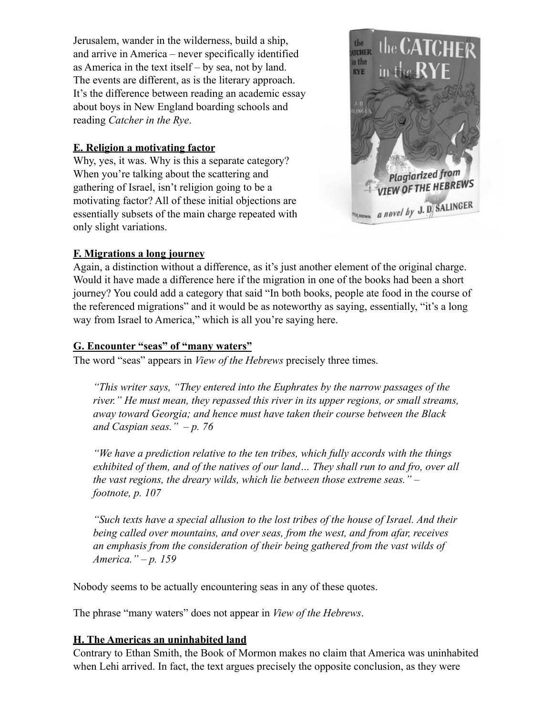Jerusalem, wander in the wilderness, build a ship, and arrive in America – never specifically identified as America in the text itself – by sea, not by land. The events are different, as is the literary approach. It's the difference between reading an academic essay about boys in New England boarding schools and reading *Catcher in the Rye*.

## **E. Religion a motivating factor**

Why, yes, it was. Why is this a separate category? When you're talking about the scattering and gathering of Israel, isn't religion going to be a motivating factor? All of these initial objections are essentially subsets of the main charge repeated with only slight variations.



### **F. Migrations a long journey**

Again, a distinction without a difference, as it's just another element of the original charge. Would it have made a difference here if the migration in one of the books had been a short journey? You could add a category that said "In both books, people ate food in the course of the referenced migrations" and it would be as noteworthy as saying, essentially, "it's a long way from Israel to America," which is all you're saying here.

### **G. Encounter "seas" of "many waters"**

The word "seas" appears in *View of the Hebrews* precisely three times.

*"This writer says, "They entered into the Euphrates by the narrow passages of the river." He must mean, they repassed this river in its upper regions, or small streams, away toward Georgia; and hence must have taken their course between the Black and Caspian seas." – p. 76*

*"We have a prediction relative to the ten tribes, which fully accords with the things exhibited of them, and of the natives of our land… They shall run to and fro, over all the vast regions, the dreary wilds, which lie between those extreme seas." – footnote, p. 107*

*"Such texts have a special allusion to the lost tribes of the house of Israel. And their being called over mountains, and over seas, from the west, and from afar, receives an emphasis from the consideration of their being gathered from the vast wilds of America." – p. 159*

Nobody seems to be actually encountering seas in any of these quotes.

The phrase "many waters" does not appear in *View of the Hebrews*.

### **H. The Americas an uninhabited land**

Contrary to Ethan Smith, the Book of Mormon makes no claim that America was uninhabited when Lehi arrived. In fact, the text argues precisely the opposite conclusion, as they were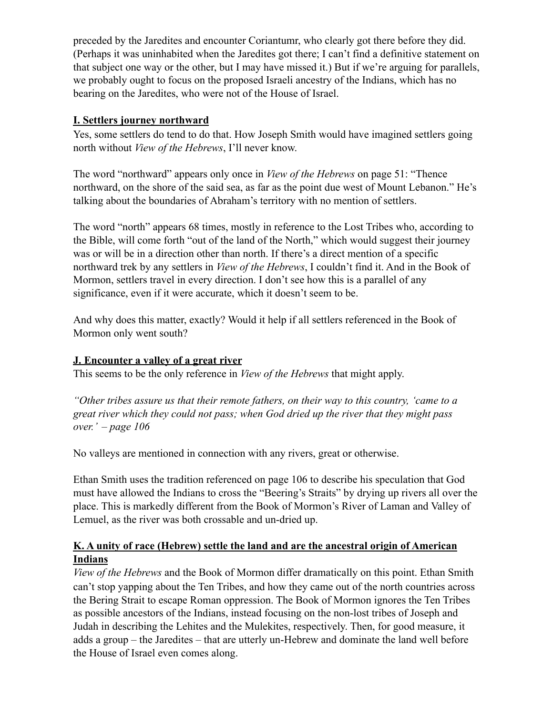preceded by the Jaredites and encounter Coriantumr, who clearly got there before they did. (Perhaps it was uninhabited when the Jaredites got there; I can't find a definitive statement on that subject one way or the other, but I may have missed it.) But if we're arguing for parallels, we probably ought to focus on the proposed Israeli ancestry of the Indians, which has no bearing on the Jaredites, who were not of the House of Israel.

## **I. Settlers journey northward**

Yes, some settlers do tend to do that. How Joseph Smith would have imagined settlers going north without *View of the Hebrews*, I'll never know.

The word "northward" appears only once in *View of the Hebrews* on page 51: "Thence northward, on the shore of the said sea, as far as the point due west of Mount Lebanon." He's talking about the boundaries of Abraham's territory with no mention of settlers.

The word "north" appears 68 times, mostly in reference to the Lost Tribes who, according to the Bible, will come forth "out of the land of the North," which would suggest their journey was or will be in a direction other than north. If there's a direct mention of a specific northward trek by any settlers in *View of the Hebrews*, I couldn't find it. And in the Book of Mormon, settlers travel in every direction. I don't see how this is a parallel of any significance, even if it were accurate, which it doesn't seem to be.

And why does this matter, exactly? Would it help if all settlers referenced in the Book of Mormon only went south?

## **J. Encounter a valley of a great river**

This seems to be the only reference in *View of the Hebrews* that might apply.

*"Other tribes assure us that their remote fathers, on their way to this country, 'came to a great river which they could not pass; when God dried up the river that they might pass over.' – page 106*

No valleys are mentioned in connection with any rivers, great or otherwise.

Ethan Smith uses the tradition referenced on page 106 to describe his speculation that God must have allowed the Indians to cross the "Beering's Straits" by drying up rivers all over the place. This is markedly different from the Book of Mormon's River of Laman and Valley of Lemuel, as the river was both crossable and un-dried up.

## **K. A unity of race (Hebrew) settle the land and are the ancestral origin of American Indians**

*View of the Hebrews* and the Book of Mormon differ dramatically on this point. Ethan Smith can't stop yapping about the Ten Tribes, and how they came out of the north countries across the Bering Strait to escape Roman oppression. The Book of Mormon ignores the Ten Tribes as possible ancestors of the Indians, instead focusing on the non-lost tribes of Joseph and Judah in describing the Lehites and the Mulekites, respectively. Then, for good measure, it adds a group – the Jaredites – that are utterly un-Hebrew and dominate the land well before the House of Israel even comes along.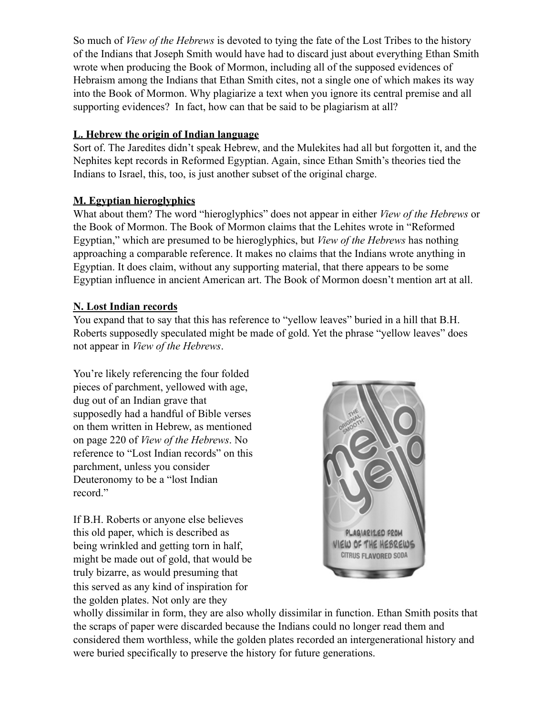So much of *View of the Hebrews* is devoted to tying the fate of the Lost Tribes to the history of the Indians that Joseph Smith would have had to discard just about everything Ethan Smith wrote when producing the Book of Mormon, including all of the supposed evidences of Hebraism among the Indians that Ethan Smith cites, not a single one of which makes its way into the Book of Mormon. Why plagiarize a text when you ignore its central premise and all supporting evidences? In fact, how can that be said to be plagiarism at all?

## **L. Hebrew the origin of Indian language**

Sort of. The Jaredites didn't speak Hebrew, and the Mulekites had all but forgotten it, and the Nephites kept records in Reformed Egyptian. Again, since Ethan Smith's theories tied the Indians to Israel, this, too, is just another subset of the original charge.

## **M. Egyptian hieroglyphics**

What about them? The word "hieroglyphics" does not appear in either *View of the Hebrews* or the Book of Mormon. The Book of Mormon claims that the Lehites wrote in "Reformed Egyptian," which are presumed to be hieroglyphics, but *View of the Hebrews* has nothing approaching a comparable reference. It makes no claims that the Indians wrote anything in Egyptian. It does claim, without any supporting material, that there appears to be some Egyptian influence in ancient American art. The Book of Mormon doesn't mention art at all.

## **N. Lost Indian records**

You expand that to say that this has reference to "yellow leaves" buried in a hill that B.H. Roberts supposedly speculated might be made of gold. Yet the phrase "yellow leaves" does not appear in *View of the Hebrews*.

You're likely referencing the four folded pieces of parchment, yellowed with age, dug out of an Indian grave that supposedly had a handful of Bible verses on them written in Hebrew, as mentioned on page 220 of *View of the Hebrews*. No reference to "Lost Indian records" on this parchment, unless you consider Deuteronomy to be a "lost Indian record."

If B.H. Roberts or anyone else believes this old paper, which is described as being wrinkled and getting torn in half, might be made out of gold, that would be truly bizarre, as would presuming that this served as any kind of inspiration for the golden plates. Not only are they



wholly dissimilar in form, they are also wholly dissimilar in function. Ethan Smith posits that the scraps of paper were discarded because the Indians could no longer read them and considered them worthless, while the golden plates recorded an intergenerational history and were buried specifically to preserve the history for future generations.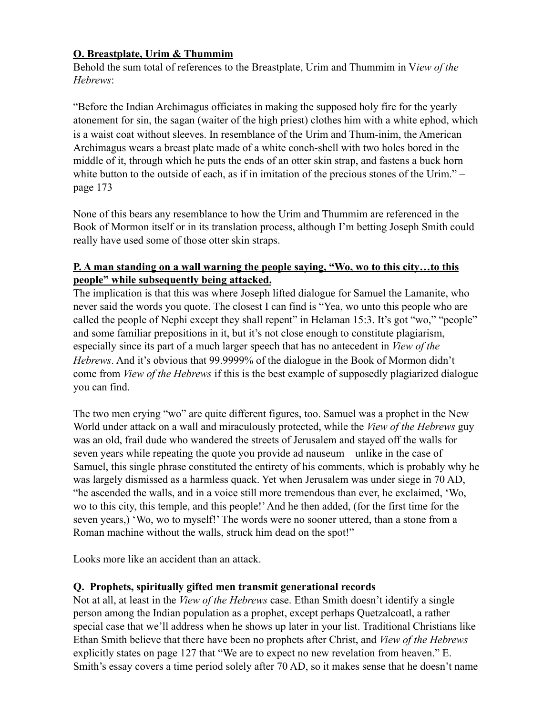## **O. Breastplate, Urim & Thummim**

Behold the sum total of references to the Breastplate, Urim and Thummim in V*iew of the Hebrews*:

"Before the Indian Archimagus officiates in making the supposed holy fire for the yearly atonement for sin, the sagan (waiter of the high priest) clothes him with a white ephod, which is a waist coat without sleeves. In resemblance of the Urim and Thum-inim, the American Archimagus wears a breast plate made of a white conch-shell with two holes bored in the middle of it, through which he puts the ends of an otter skin strap, and fastens a buck horn white button to the outside of each, as if in imitation of the precious stones of the Urim." – page 173

None of this bears any resemblance to how the Urim and Thummim are referenced in the Book of Mormon itself or in its translation process, although I'm betting Joseph Smith could really have used some of those otter skin straps.

## **P. A man standing on a wall warning the people saying, "Wo, wo to this city…to this people" while subsequently being attacked.**

The implication is that this was where Joseph lifted dialogue for Samuel the Lamanite, who never said the words you quote. The closest I can find is "Yea, wo unto this people who are called the people of Nephi except they shall repent" in Helaman 15:3. It's got "wo," "people" and some familiar prepositions in it, but it's not close enough to constitute plagiarism, especially since its part of a much larger speech that has no antecedent in *View of the Hebrews*. And it's obvious that 99.9999% of the dialogue in the Book of Mormon didn't come from *View of the Hebrews* if this is the best example of supposedly plagiarized dialogue you can find.

The two men crying "wo" are quite different figures, too. Samuel was a prophet in the New World under attack on a wall and miraculously protected, while the *View of the Hebrews* guy was an old, frail dude who wandered the streets of Jerusalem and stayed off the walls for seven years while repeating the quote you provide ad nauseum – unlike in the case of Samuel, this single phrase constituted the entirety of his comments, which is probably why he was largely dismissed as a harmless quack. Yet when Jerusalem was under siege in 70 AD, "he ascended the walls, and in a voice still more tremendous than ever, he exclaimed, 'Wo, wo to this city, this temple, and this people!' And he then added, (for the first time for the seven years,) 'Wo, wo to myself!' The words were no sooner uttered, than a stone from a Roman machine without the walls, struck him dead on the spot!"

Looks more like an accident than an attack.

### **Q. Prophets, spiritually gifted men transmit generational records**

Not at all, at least in the *View of the Hebrews* case. Ethan Smith doesn't identify a single person among the Indian population as a prophet, except perhaps Quetzalcoatl, a rather special case that we'll address when he shows up later in your list. Traditional Christians like Ethan Smith believe that there have been no prophets after Christ, and *View of the Hebrews* explicitly states on page 127 that "We are to expect no new revelation from heaven." E. Smith's essay covers a time period solely after 70 AD, so it makes sense that he doesn't name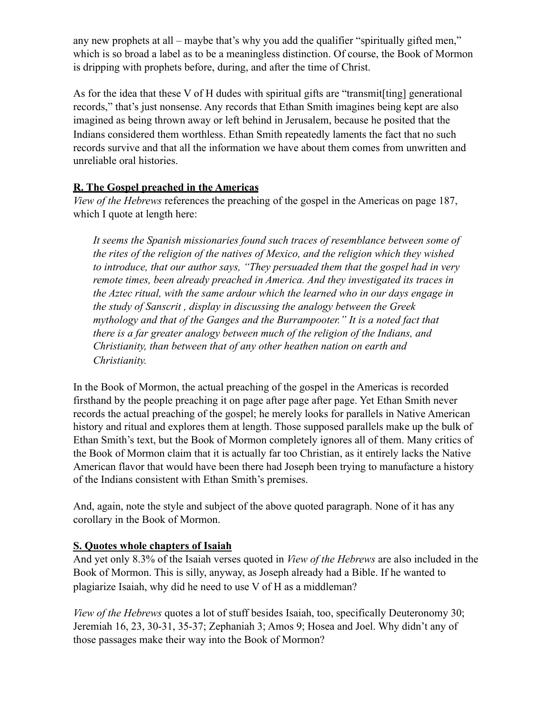any new prophets at all – maybe that's why you add the qualifier "spiritually gifted men," which is so broad a label as to be a meaningless distinction. Of course, the Book of Mormon is dripping with prophets before, during, and after the time of Christ.

As for the idea that these V of H dudes with spiritual gifts are "transmit[ting] generational records," that's just nonsense. Any records that Ethan Smith imagines being kept are also imagined as being thrown away or left behind in Jerusalem, because he posited that the Indians considered them worthless. Ethan Smith repeatedly laments the fact that no such records survive and that all the information we have about them comes from unwritten and unreliable oral histories.

## **R. The Gospel preached in the Americas**

*View of the Hebrews* references the preaching of the gospel in the Americas on page 187, which I quote at length here:

*It seems the Spanish missionaries found such traces of resemblance between some of the rites of the religion of the natives of Mexico, and the religion which they wished to introduce, that our author says, "They persuaded them that the gospel had in very remote times, been already preached in America. And they investigated its traces in the Aztec ritual, with the same ardour which the learned who in our days engage in the study of Sanscrit , display in discussing the analogy between the Greek mythology and that of the Ganges and the Burrampooter." It is a noted fact that there is a far greater analogy between much of the religion of the Indians, and Christianity, than between that of any other heathen nation on earth and Christianity.*

In the Book of Mormon, the actual preaching of the gospel in the Americas is recorded firsthand by the people preaching it on page after page after page. Yet Ethan Smith never records the actual preaching of the gospel; he merely looks for parallels in Native American history and ritual and explores them at length. Those supposed parallels make up the bulk of Ethan Smith's text, but the Book of Mormon completely ignores all of them. Many critics of the Book of Mormon claim that it is actually far too Christian, as it entirely lacks the Native American flavor that would have been there had Joseph been trying to manufacture a history of the Indians consistent with Ethan Smith's premises.

And, again, note the style and subject of the above quoted paragraph. None of it has any corollary in the Book of Mormon.

## **S. Quotes whole chapters of Isaiah**

And yet only 8.3% of the Isaiah verses quoted in *View of the Hebrews* are also included in the Book of Mormon. This is silly, anyway, as Joseph already had a Bible. If he wanted to plagiarize Isaiah, why did he need to use V of H as a middleman?

*View of the Hebrews* quotes a lot of stuff besides Isaiah, too, specifically Deuteronomy 30; Jeremiah 16, 23, 30-31, 35-37; Zephaniah 3; Amos 9; Hosea and Joel. Why didn't any of those passages make their way into the Book of Mormon?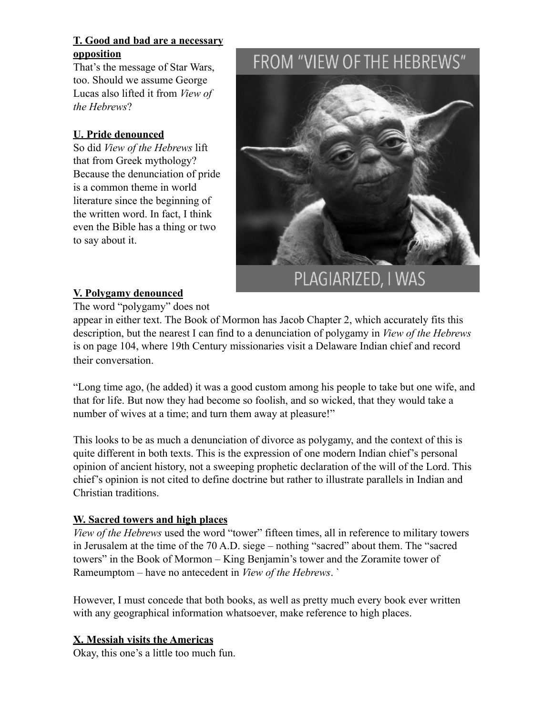## **T. Good and bad are a necessary opposition**

That's the message of Star Wars, too. Should we assume George Lucas also lifted it from *View of the Hebrews*?

## **U. Pride denounced**

So did *View of the Hebrews* lift that from Greek mythology? Because the denunciation of pride is a common theme in world literature since the beginning of the written word. In fact, I think even the Bible has a thing or two to say about it.

# FROM "VIEW OF THE HEBREWS"



## **V. Polygamy denounced**

The word "polygamy" does not

appear in either text. The Book of Mormon has Jacob Chapter 2, which accurately fits this description, but the nearest I can find to a denunciation of polygamy in *View of the Hebrews* is on page 104, where 19th Century missionaries visit a Delaware Indian chief and record their conversation.

"Long time ago, (he added) it was a good custom among his people to take but one wife, and that for life. But now they had become so foolish, and so wicked, that they would take a number of wives at a time; and turn them away at pleasure!"

This looks to be as much a denunciation of divorce as polygamy, and the context of this is quite different in both texts. This is the expression of one modern Indian chief's personal opinion of ancient history, not a sweeping prophetic declaration of the will of the Lord. This chief's opinion is not cited to define doctrine but rather to illustrate parallels in Indian and Christian traditions.

### **W. Sacred towers and high places**

*View of the Hebrews* used the word "tower" fifteen times, all in reference to military towers in Jerusalem at the time of the 70 A.D. siege – nothing "sacred" about them. The "sacred towers" in the Book of Mormon – King Benjamin's tower and the Zoramite tower of Rameumptom – have no antecedent in *View of the Hebrews*. `

However, I must concede that both books, as well as pretty much every book ever written with any geographical information whatsoever, make reference to high places.

### **X. Messiah visits the Americas**

Okay, this one's a little too much fun.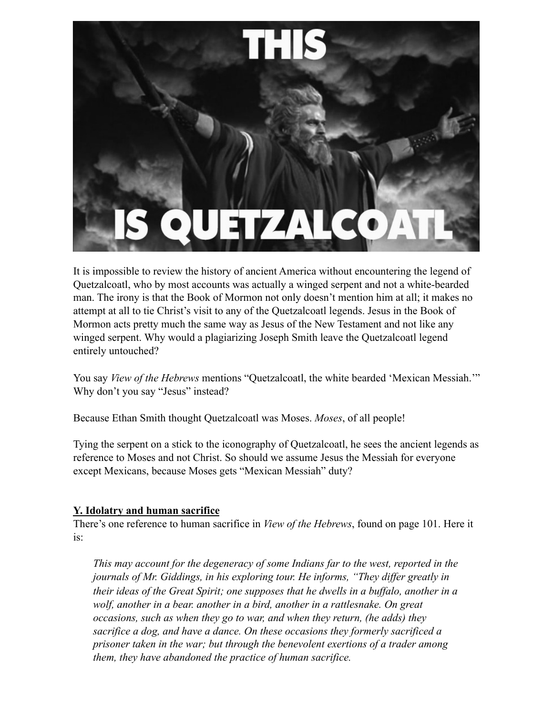

It is impossible to review the history of ancient America without encountering the legend of Quetzalcoatl, who by most accounts was actually a winged serpent and not a white-bearded man. The irony is that the Book of Mormon not only doesn't mention him at all; it makes no attempt at all to tie Christ's visit to any of the Quetzalcoatl legends. Jesus in the Book of Mormon acts pretty much the same way as Jesus of the New Testament and not like any winged serpent. Why would a plagiarizing Joseph Smith leave the Quetzalcoatl legend entirely untouched?

You say *View of the Hebrews* mentions "Quetzalcoatl, the white bearded 'Mexican Messiah.'" Why don't you say "Jesus" instead?

Because Ethan Smith thought Quetzalcoatl was Moses. *Moses*, of all people!

Tying the serpent on a stick to the iconography of Quetzalcoatl, he sees the ancient legends as reference to Moses and not Christ. So should we assume Jesus the Messiah for everyone except Mexicans, because Moses gets "Mexican Messiah" duty?

## **Y. Idolatry and human sacrifice**

There's one reference to human sacrifice in *View of the Hebrews*, found on page 101. Here it is:

*This may account for the degeneracy of some Indians far to the west, reported in the journals of Mr. Giddings, in his exploring tour. He informs, "They differ greatly in their ideas of the Great Spirit; one supposes that he dwells in a buffalo, another in a wolf, another in a bear. another in a bird, another in a rattlesnake. On great occasions, such as when they go to war, and when they return, (he adds) they sacrifice a dog, and have a dance. On these occasions they formerly sacrificed a prisoner taken in the war; but through the benevolent exertions of a trader among them, they have abandoned the practice of human sacrifice.*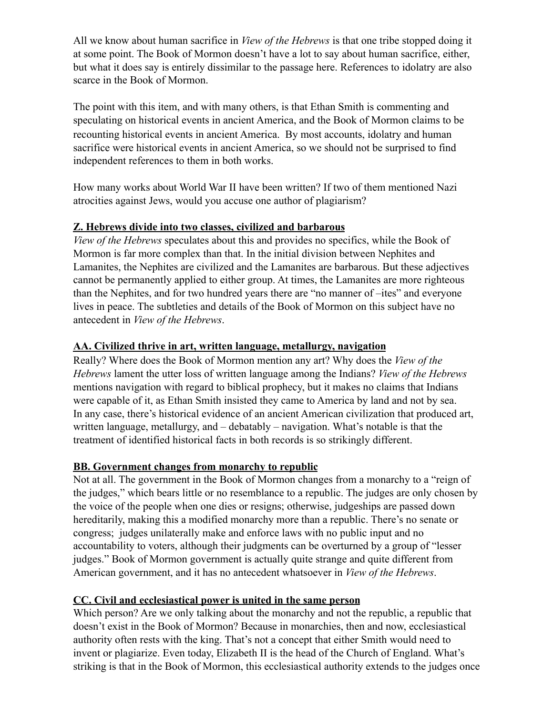All we know about human sacrifice in *View of the Hebrews* is that one tribe stopped doing it at some point. The Book of Mormon doesn't have a lot to say about human sacrifice, either, but what it does say is entirely dissimilar to the passage here. References to idolatry are also scarce in the Book of Mormon.

The point with this item, and with many others, is that Ethan Smith is commenting and speculating on historical events in ancient America, and the Book of Mormon claims to be recounting historical events in ancient America. By most accounts, idolatry and human sacrifice were historical events in ancient America, so we should not be surprised to find independent references to them in both works.

How many works about World War II have been written? If two of them mentioned Nazi atrocities against Jews, would you accuse one author of plagiarism?

### **Z. Hebrews divide into two classes, civilized and barbarous**

*View of the Hebrews* speculates about this and provides no specifics, while the Book of Mormon is far more complex than that. In the initial division between Nephites and Lamanites, the Nephites are civilized and the Lamanites are barbarous. But these adjectives cannot be permanently applied to either group. At times, the Lamanites are more righteous than the Nephites, and for two hundred years there are "no manner of –ites" and everyone lives in peace. The subtleties and details of the Book of Mormon on this subject have no antecedent in *View of the Hebrews*.

### **AA. Civilized thrive in art, written language, metallurgy, navigation**

Really? Where does the Book of Mormon mention any art? Why does the *View of the Hebrews* lament the utter loss of written language among the Indians? *View of the Hebrews*  mentions navigation with regard to biblical prophecy, but it makes no claims that Indians were capable of it, as Ethan Smith insisted they came to America by land and not by sea. In any case, there's historical evidence of an ancient American civilization that produced art, written language, metallurgy, and – debatably – navigation. What's notable is that the treatment of identified historical facts in both records is so strikingly different.

### **BB. Government changes from monarchy to republic**

Not at all. The government in the Book of Mormon changes from a monarchy to a "reign of the judges," which bears little or no resemblance to a republic. The judges are only chosen by the voice of the people when one dies or resigns; otherwise, judgeships are passed down hereditarily, making this a modified monarchy more than a republic. There's no senate or congress; judges unilaterally make and enforce laws with no public input and no accountability to voters, although their judgments can be overturned by a group of "lesser judges." Book of Mormon government is actually quite strange and quite different from American government, and it has no antecedent whatsoever in *View of the Hebrews*.

### **CC. Civil and ecclesiastical power is united in the same person**

Which person? Are we only talking about the monarchy and not the republic, a republic that doesn't exist in the Book of Mormon? Because in monarchies, then and now, ecclesiastical authority often rests with the king. That's not a concept that either Smith would need to invent or plagiarize. Even today, Elizabeth II is the head of the Church of England. What's striking is that in the Book of Mormon, this ecclesiastical authority extends to the judges once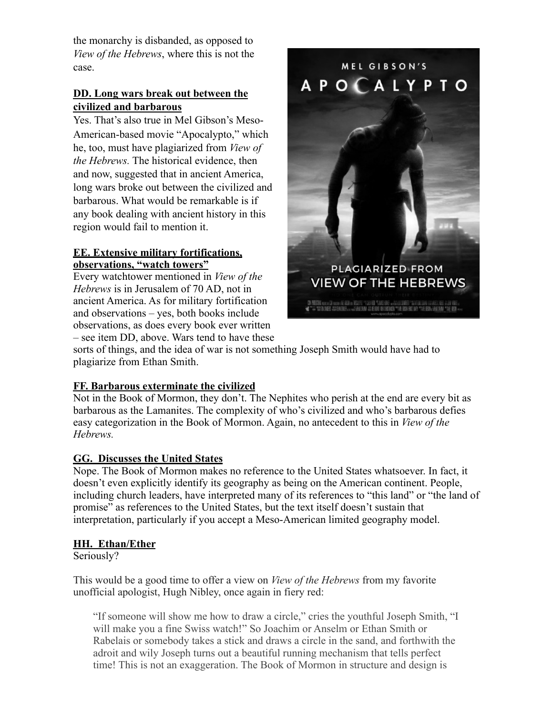the monarchy is disbanded, as opposed to *View of the Hebrews*, where this is not the case.

## **DD. Long wars break out between the civilized and barbarous**

Yes. That's also true in Mel Gibson's Meso-American-based movie "Apocalypto," which he, too, must have plagiarized from *View of the Hebrews.* The historical evidence, then and now, suggested that in ancient America, long wars broke out between the civilized and barbarous. What would be remarkable is if any book dealing with ancient history in this region would fail to mention it.

### **EE. Extensive military fortifications, observations, "watch towers"**

Every watchtower mentioned in *View of the Hebrews* is in Jerusalem of 70 AD, not in ancient America. As for military fortification and observations – yes, both books include observations, as does every book ever written – see item DD, above. Wars tend to have these



sorts of things, and the idea of war is not something Joseph Smith would have had to plagiarize from Ethan Smith.

## **FF. Barbarous exterminate the civilized**

Not in the Book of Mormon, they don't. The Nephites who perish at the end are every bit as barbarous as the Lamanites. The complexity of who's civilized and who's barbarous defies easy categorization in the Book of Mormon. Again, no antecedent to this in *View of the Hebrews.*

## **GG. Discusses the United States**

Nope. The Book of Mormon makes no reference to the United States whatsoever. In fact, it doesn't even explicitly identify its geography as being on the American continent. People, including church leaders, have interpreted many of its references to "this land" or "the land of promise" as references to the United States, but the text itself doesn't sustain that interpretation, particularly if you accept a Meso-American limited geography model.

## **HH. Ethan/Ether**

Seriously?

This would be a good time to offer a view on *View of the Hebrews* from my favorite unofficial apologist, Hugh Nibley, once again in fiery red:

"If someone will show me how to draw a circle," cries the youthful Joseph Smith, "I will make you a fine Swiss watch!" So Joachim or Anselm or Ethan Smith or Rabelais or somebody takes a stick and draws a circle in the sand, and forthwith the adroit and wily Joseph turns out a beautiful running mechanism that tells perfect time! This is not an exaggeration. The Book of Mormon in structure and design is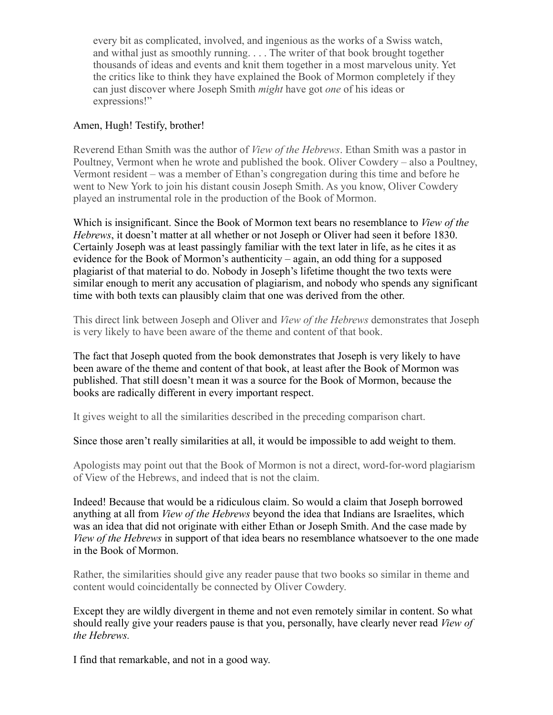every bit as complicated, involved, and ingenious as the works of a Swiss watch, and withal just as smoothly running. . . . The writer of that book brought together thousands of ideas and events and knit them together in a most marvelous unity. Yet the critics like to think they have explained the Book of Mormon completely if they can just discover where Joseph Smith *might* have got *one* of his ideas or expressions!"

#### Amen, Hugh! Testify, brother!

Reverend Ethan Smith was the author of *View of the Hebrews*. Ethan Smith was a pastor in Poultney, Vermont when he wrote and published the book. Oliver Cowdery – also a Poultney, Vermont resident – was a member of Ethan's congregation during this time and before he went to New York to join his distant cousin Joseph Smith. As you know, Oliver Cowdery played an instrumental role in the production of the Book of Mormon.

Which is insignificant. Since the Book of Mormon text bears no resemblance to *View of the Hebrews*, it doesn't matter at all whether or not Joseph or Oliver had seen it before 1830. Certainly Joseph was at least passingly familiar with the text later in life, as he cites it as evidence for the Book of Mormon's authenticity – again, an odd thing for a supposed plagiarist of that material to do. Nobody in Joseph's lifetime thought the two texts were similar enough to merit any accusation of plagiarism, and nobody who spends any significant time with both texts can plausibly claim that one was derived from the other.

This direct link between Joseph and Oliver and *View of the Hebrews* demonstrates that Joseph is very likely to have been aware of the theme and content of that book.

The fact that Joseph quoted from the book demonstrates that Joseph is very likely to have been aware of the theme and content of that book, at least after the Book of Mormon was published. That still doesn't mean it was a source for the Book of Mormon, because the books are radically different in every important respect.

It gives weight to all the similarities described in the preceding comparison chart.

Since those aren't really similarities at all, it would be impossible to add weight to them.

Apologists may point out that the Book of Mormon is not a direct, word-for-word plagiarism of View of the Hebrews, and indeed that is not the claim.

Indeed! Because that would be a ridiculous claim. So would a claim that Joseph borrowed anything at all from *View of the Hebrews* beyond the idea that Indians are Israelites, which was an idea that did not originate with either Ethan or Joseph Smith. And the case made by *View of the Hebrews* in support of that idea bears no resemblance whatsoever to the one made in the Book of Mormon.

Rather, the similarities should give any reader pause that two books so similar in theme and content would coincidentally be connected by Oliver Cowdery.

Except they are wildly divergent in theme and not even remotely similar in content. So what should really give your readers pause is that you, personally, have clearly never read *View of the Hebrews.*

I find that remarkable, and not in a good way.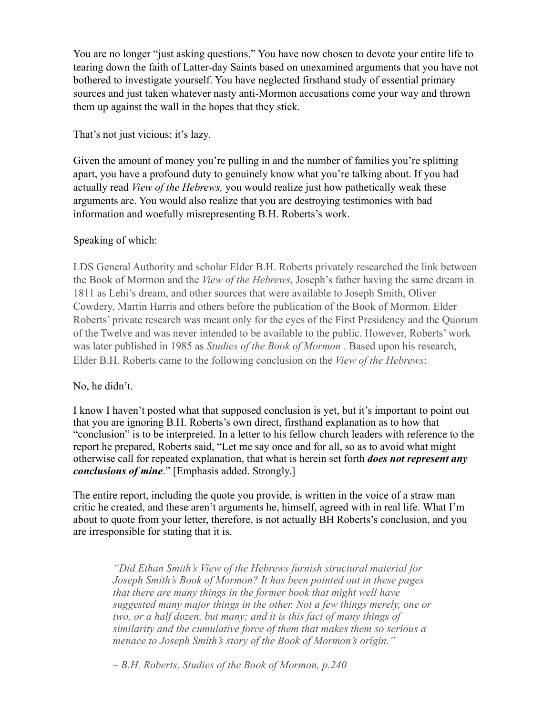You are no longer "just asking questions." You have now chosen to devote your entire life to tearing down the faith of Latter-day Saints based on unexamined arguments that you have not bothered to investigate yourself. You have neglected firsthand study of essential primary sources and just taken whatever nasty anti-Mormon accusations come your way and thrown them up against the wall in the hopes that they stick.

That's not just vicious; it's lazy.

Given the amount of money you're pulling in and the number of families you're splitting apart, you have a profound duty to genuinely know what you're talking about. If you had actually read *View of the Hebrews,* you would realize just how pathetically weak these arguments are. You would also realize that you are destroying testimonies with bad information and woefully misrepresenting B.H. Roberts's work.

## Speaking of which:

LDS General Authority and scholar Elder B.H. Roberts privately researched the link between the Book of Mormon and the *View of the Hebrews*, Joseph's father having the same dream in 1811 as Lehi's dream, and other sources that were available to Joseph Smith, Oliver Cowdery, Martin Harris and others before the publication of the Book of Mormon. Elder Roberts' private research was meant only for the eyes of the First Presidency and the Quorum of the Twelve and was never intended to be available to the public. However, Roberts' work was later published in 1985 as *Studies of the Book of Mormon* . Based upon his research, Elder B.H. Roberts came to the following conclusion on the *View of the Hebrews*:

### No, he didn't.

I know I haven't posted what that supposed conclusion is yet, but it's important to point out that you are ignoring B.H. Roberts's own direct, firsthand explanation as to how that "conclusion" is to be interpreted. In a letter to his fellow church leaders with reference to the report he prepared, Roberts said, "Let me say once and for all, so as to avoid what might otherwise call for repeated explanation, that what is herein set forth *does not represent any conclusions of mine*." [Emphasis added. Strongly.]

The entire report, including the quote you provide, is written in the voice of a straw man critic he created, and these aren't arguments he, himself, agreed with in real life. What I'm about to quote from your letter, therefore, is not actually BH Roberts's conclusion, and you are irresponsible for stating that it is.

> *"Did Ethan Smith's View of the Hebrews furnish structural material for Joseph Smith's Book of Mormon? It has been pointed out in these pages that there are many things in the former book that might well have suggested many major things in the other. Not a few things merely, one or two, or a half dozen, but many; and it is this fact of many things of similarity and the cumulative force of them that makes them so serious a menace to Joseph Smith's story of the Book of Mormon's origin."*

*– B.H. Roberts, Studies of the Book of Mormon, p.240*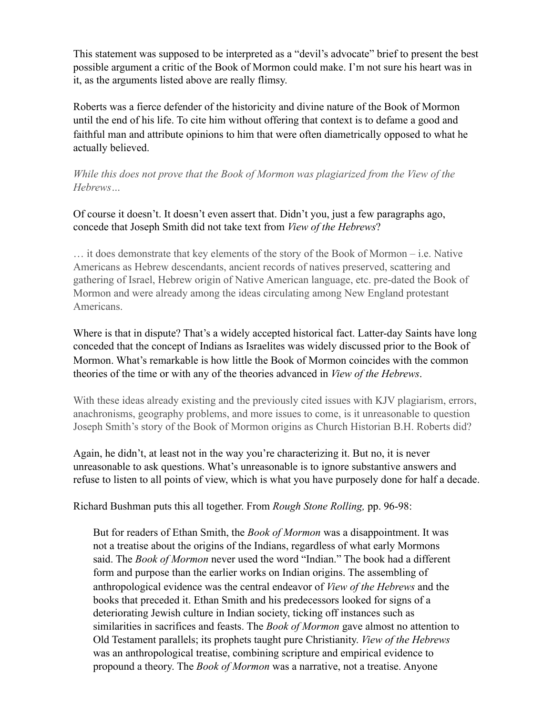This statement was supposed to be interpreted as a "devil's advocate" brief to present the best possible argument a critic of the Book of Mormon could make. I'm not sure his heart was in it, as the arguments listed above are really flimsy.

Roberts was a fierce defender of the historicity and divine nature of the Book of Mormon until the end of his life. To cite him without offering that context is to defame a good and faithful man and attribute opinions to him that were often diametrically opposed to what he actually believed.

*While this does not prove that the Book of Mormon was plagiarized from the View of the Hebrews…* 

Of course it doesn't. It doesn't even assert that. Didn't you, just a few paragraphs ago, concede that Joseph Smith did not take text from *View of the Hebrews*?

… it does demonstrate that key elements of the story of the Book of Mormon – i.e. Native Americans as Hebrew descendants, ancient records of natives preserved, scattering and gathering of Israel, Hebrew origin of Native American language, etc. pre-dated the Book of Mormon and were already among the ideas circulating among New England protestant Americans.

Where is that in dispute? That's a widely accepted historical fact. Latter-day Saints have long conceded that the concept of Indians as Israelites was widely discussed prior to the Book of Mormon. What's remarkable is how little the Book of Mormon coincides with the common theories of the time or with any of the theories advanced in *View of the Hebrews*.

With these ideas already existing and the previously cited issues with KJV plagiarism, errors, anachronisms, geography problems, and more issues to come, is it unreasonable to question Joseph Smith's story of the Book of Mormon origins as Church Historian B.H. Roberts did?

Again, he didn't, at least not in the way you're characterizing it. But no, it is never unreasonable to ask questions. What's unreasonable is to ignore substantive answers and refuse to listen to all points of view, which is what you have purposely done for half a decade.

Richard Bushman puts this all together. From *Rough Stone Rolling,* pp. 96-98:

But for readers of Ethan Smith, the *Book of Mormon* was a disappointment. It was not a treatise about the origins of the Indians, regardless of what early Mormons said. The *Book of Mormon* never used the word "Indian." The book had a different form and purpose than the earlier works on Indian origins. The assembling of anthropological evidence was the central endeavor of *View of the Hebrews* and the books that preceded it. Ethan Smith and his predecessors looked for signs of a deteriorating Jewish culture in Indian society, ticking off instances such as similarities in sacrifices and feasts. The *Book of Mormon* gave almost no attention to Old Testament parallels; its prophets taught pure Christianity. *View of the Hebrews* was an anthropological treatise, combining scripture and empirical evidence to propound a theory. The *Book of Mormon* was a narrative, not a treatise. Anyone